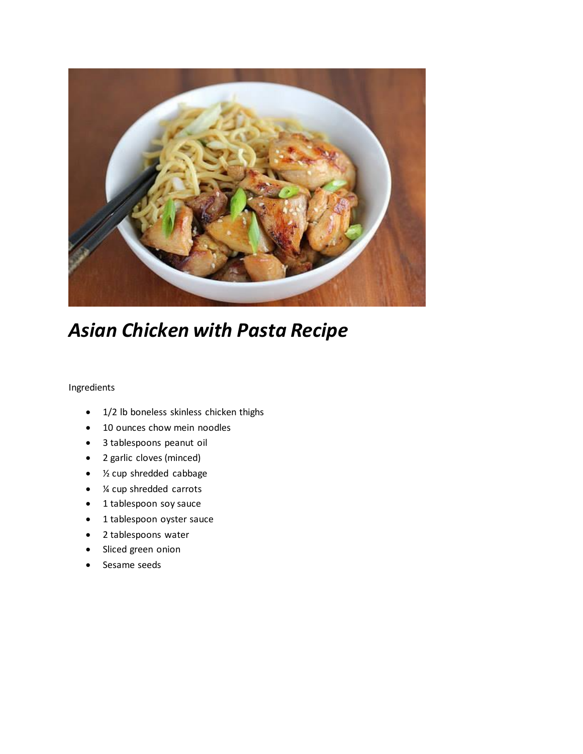

## *Asian Chicken with Pasta Recipe*

## Ingredients

- 1/2 lb boneless skinless chicken thighs
- 10 ounces chow mein noodles
- 3 tablespoons peanut oil
- 2 garlic cloves (minced)
- 1/2 cup shredded cabbage
- ¼ cup shredded carrots
- 1 tablespoon soy sauce
- 1 tablespoon oyster sauce
- 2 tablespoons water
- Sliced green onion
- Sesame seeds